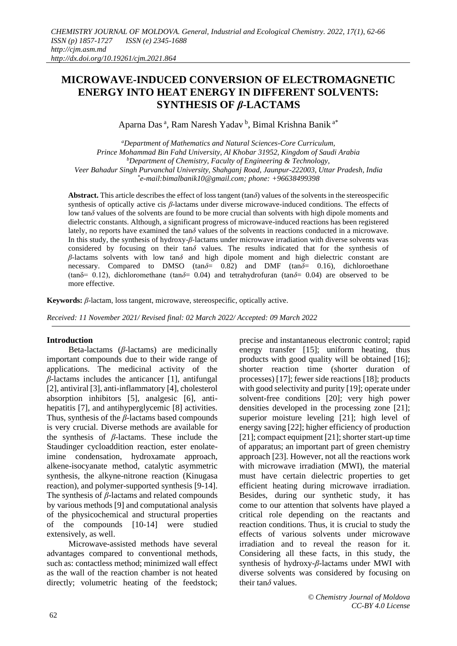# **MICROWAVE-INDUCED CONVERSION OF ELECTROMAGNETIC ENERGY INTO HEAT ENERGY IN DIFFERENT SOLVENTS: SYNTHESIS OF** *β***-LACTAMS**

Aparna Das<sup>a</sup>, Ram Naresh Yadav<sup>b</sup>, Bimal Krishna Banik<sup>a\*</sup>

*<sup>a</sup>Department of Mathematics and Natural Sciences-Core Curriculum, Prince Mohammad Bin Fahd University, Al Khobar 31952, Kingdom of Saudi Arabia <sup>b</sup>Department of Chemistry, Faculty of Engineering & Technology, Veer Bahadur Singh Purvanchal University, Shahganj Road, Jaunpur-222003, Uttar Pradesh, India \* [e-mail:b](mailto:*aparnadasam@gmail.com)imalbanik10@gmail.com; phone: +96638499398*

**Abstract.** This article describes the effect of loss tangent (tan*δ*) values of the solvents in the stereospecific synthesis of optically active cis *β*-lactams under diverse microwave-induced conditions. The effects of low tan*δ* values of the solvents are found to be more crucial than solvents with high dipole moments and dielectric constants. Although, a significant progress of microwave-induced reactions has been registered lately, no reports have examined the tan $\delta$  values of the solvents in reactions conducted in a microwave. In this study, the synthesis of hydroxy-*β*-lactams under microwave irradiation with diverse solvents was considered by focusing on their tan*δ* values. The results indicated that for the synthesis of *β*-lactams solvents with low tan*δ* and high dipole moment and high dielectric constant are necessary. Compared to DMSO (tan $\delta$ = 0.82) and DMF (tan $\delta$ = 0.16), dichloroethane (tanδ= 0.12), dichloromethane (tan*δ*= 0.04) and tetrahydrofuran (tan*δ*= 0.04) are observed to be more effective.

**Keywords:** *β*-lactam, loss tangent, microwave, stereospecific, optically active.

*Received: 11 November 2021/ Revised final: 02 March 2022/ Accepted: 09 March 2022*

# **Introduction**

Beta-lactams (*β*-lactams) are medicinally important compounds due to their wide range of applications. The medicinal activity of the *β*-lactams includes the anticancer [1], antifungal [2], antiviral [3], anti-inflammatory [4], cholesterol absorption inhibitors [5], analgesic [6], antihepatitis [7], and antihyperglycemic [8] activities. Thus, synthesis of the *β*-lactams based compounds is very crucial. Diverse methods are available for the synthesis of *β*-lactams. These include the Staudinger cycloaddition reaction, ester enolateimine condensation, hydroxamate approach, alkene-isocyanate method, catalytic asymmetric synthesis, the alkyne-nitrone reaction (Kinugasa reaction), and polymer-supported synthesis [9-14]. The synthesis of *β*-lactams and related compounds by various methods [9] and computational analysis of the physicochemical and structural properties of the compounds [10-14] were studied extensively, as well.

Microwave-assisted methods have several advantages compared to conventional methods, such as: contactless method; minimized wall effect as the wall of the reaction chamber is not heated directly; volumetric heating of the feedstock; precise and instantaneous electronic control; rapid energy transfer [15]; uniform heating, thus products with good quality will be obtained [16]; shorter reaction time (shorter duration of processes) [17]; fewer side reactions [18]; products with good selectivity and purity [19]; operate under solvent-free conditions [20]; very high power densities developed in the processing zone [21]; superior moisture leveling [21]; high level of energy saving [22]; higher efficiency of production [21]; compact equipment [21]; shorter start-up time of apparatus; an important part of green chemistry approach [23]. However, not all the reactions work with microwave irradiation (MWI), the material must have certain dielectric properties to get efficient heating during microwave irradiation. Besides, during our synthetic study, it has come to our attention that solvents have played a critical role depending on the reactants and reaction conditions. Thus, it is crucial to study the effects of various solvents under microwave irradiation and to reveal the reason for it. Considering all these facts, in this study, the synthesis of hydroxy-*β*-lactams under MWI with diverse solvents was considered by focusing on their tan*δ* values.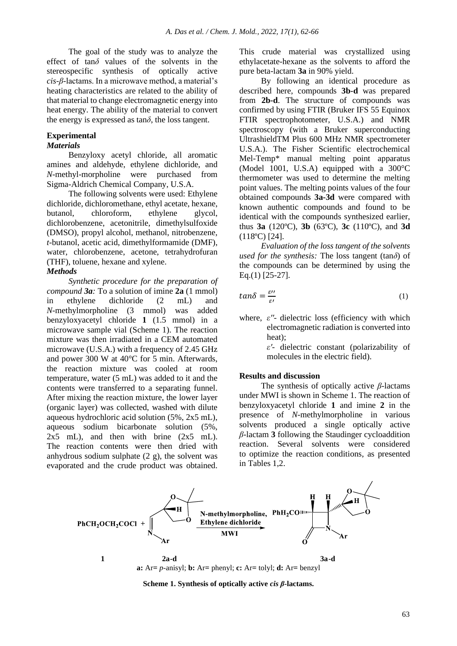The goal of the study was to analyze the effect of tan*δ* values of the solvents in the stereospecific synthesis of optically active *cis*-*β*-lactams. In a microwave method, a material's heating characteristics are related to the ability of that material to change electromagnetic energy into heat energy. The ability of the material to convert the energy is expressed as  $tan\delta$ , the loss tangent.

# **Experimental**

## *Materials*

Benzyloxy acetyl chloride, all aromatic amines and aldehyde, ethylene dichloride, and *N*-methyl-morpholine were purchased from Sigma-Aldrich Chemical Company, U.S.A.

The following solvents were used: Ethylene dichloride, dichloromethane, ethyl acetate, hexane, butanol, chloroform, ethylene glycol, dichlorobenzene, acetonitrile, dimethylsulfoxide (DMSO), propyl alcohol, methanol, nitrobenzene, *t*-butanol, acetic acid, dimethylformamide (DMF), water, chlorobenzene, acetone, tetrahydrofuran (THF), toluene, hexane and xylene.

# *Methods*

*Synthetic procedure for the preparation of compound 3a:* To a solution of imine **2a** (1 mmol) in ethylene dichloride (2 mL) and *N*-methylmorpholine (3 mmol) was added benzyloxyacetyl chloride **1** (1.5 mmol) in a microwave sample vial (Scheme 1). The reaction mixture was then irradiated in a CEM automated microwave  $(U.S.A.)$  with a frequency of 2.45 GHz and power 300 W at 40°C for 5 min. Afterwards, the reaction mixture was cooled at room temperature, water (5 mL) was added to it and the contents were transferred to a separating funnel. After mixing the reaction mixture, the lower layer (organic layer) was collected, washed with dilute aqueous hydrochloric acid solution (5%, 2x5 mL), aqueous sodium bicarbonate solution (5%,  $2x5$  mL), and then with brine  $(2x5 \text{ mL})$ . The reaction contents were then dried with anhydrous sodium sulphate (2 g), the solvent was evaporated and the crude product was obtained. This crude material was crystallized using ethylacetate-hexane as the solvents to afford the pure beta-lactam **3a** in 90% yield.

By following an identical procedure as described here, compounds **3b-d** was prepared from **2b-d**. The structure of compounds was confirmed by using FTIR (Bruker IFS 55 Equinox FTIR spectrophotometer, U.S.A.) and NMR spectroscopy (with a Bruker superconducting UltrashieldTM Plus 600 MHz NMR spectrometer U.S.A.). The Fisher Scientific electrochemical Mel-Temp\* manual melting point apparatus (Model 1001, U.S.A) equipped with a 300°C thermometer was used to determine the melting point values. The melting points values of the four obtained compounds **3a-3d** were compared with known authentic compounds and found to be identical with the compounds synthesized earlier, thus **3a** (120ºC), **3b** (63ºC), **3c** (110ºC), and **3d** (118ºC) [24].

*Evaluation of the loss tangent of the solvents used for the synthesis:* The loss tangent (tan*δ*) of the compounds can be determined by using the Eq.(1) [25-27].

$$
tan\delta = \frac{\varepsilon \prime \prime}{\varepsilon \prime} \tag{1}
$$

where, *ε''*- dielectric loss (efficiency with which electromagnetic radiation is converted into heat);

*ε'*- dielectric constant (polarizability of molecules in the electric field).

#### **Results and discussion**

The synthesis of optically active *β*-lactams under MWI is shown in Scheme 1. The reaction of benzyloxyacetyl chloride **1** and imine **2** in the presence of *N*-methylmorpholine in various solvents produced a single optically active *β*-lactam **3** following the Staudinger cycloaddition reaction. Several solvents were considered to optimize the reaction conditions, as presented in Tables 1,2.



## **Scheme 1. Synthesis of optically active** *cis β***-lactams.**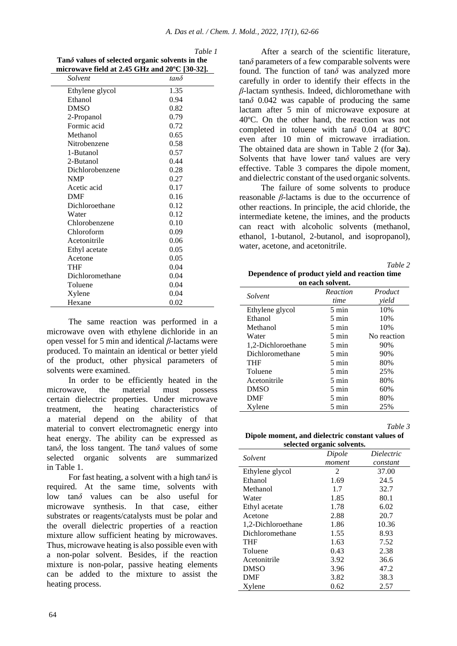| microwave field at 2.45 GHz and 20°C [30-32]. |             |  |
|-----------------------------------------------|-------------|--|
| Solvent                                       | $tan\delta$ |  |
| Ethylene glycol                               | 1.35        |  |
| Ethanol                                       | 0.94        |  |
| <b>DMSO</b>                                   | 0.82        |  |
| 2-Propanol                                    | 0.79        |  |
| Formic acid                                   | 0.72        |  |
| Methanol                                      | 0.65        |  |
| Nitrobenzene                                  | 0.58        |  |
| 1-Butanol                                     | 0.57        |  |
| 2-Butanol                                     | 0.44        |  |
| Dichlorobenzene                               | 0.28        |  |
| <b>NMP</b>                                    | 0.27        |  |
| Acetic acid                                   | 0.17        |  |
| <b>DMF</b>                                    | 0.16        |  |
| Dichloroethane                                | 0.12        |  |
| Water                                         | 0.12        |  |
| Chlorobenzene                                 | 0.10        |  |
| Chloroform                                    | 0.09        |  |
| Acetonitrile                                  | 0.06        |  |
| Ethyl acetate                                 | 0.05        |  |
| Acetone                                       | 0.05        |  |
| <b>THF</b>                                    | 0.04        |  |
| Dichloromethane                               | 0.04        |  |
| Toluene                                       | 0.04        |  |
| Xylene                                        | 0.04        |  |
| Hexane                                        | 0.02        |  |

*Table 1* **Tan***δ* **values of selected organic solvents in the** 

The same reaction was performed in a microwave oven with ethylene dichloride in an open vessel for 5 min and identical *β*-lactams were produced. To maintain an identical or better yield of the product, other physical parameters of solvents were examined.

In order to be efficiently heated in the microwave, the material must possess certain dielectric properties. Under microwave treatment, the heating characteristics of a material depend on the ability of that material to convert electromagnetic energy into heat energy. The ability can be expressed as tan*δ*, the loss tangent. The tan*δ* values of some selected organic solvents are summarized in Table 1.

For fast heating, a solvent with a high tan*δ* is required. At the same time, solvents with low tan*δ* values can be also useful for microwave synthesis. In that case, either substrates or reagents/catalysts must be polar and the overall dielectric properties of a reaction mixture allow sufficient heating by microwaves. Thus, microwave heating is also possible even with a non-polar solvent. Besides, if the reaction mixture is non-polar, passive heating elements can be added to the mixture to assist the heating process.

After a search of the scientific literature, tan*δ* parameters of a few comparable solvents were found. The function of tan*δ* was analyzed more carefully in order to identify their effects in the *β*-lactam synthesis. Indeed, dichloromethane with tan*δ* 0.042 was capable of producing the same lactam after 5 min of microwave exposure at 40ºC. On the other hand, the reaction was not completed in toluene with tan*δ* 0.04 at 80ºC even after 10 min of microwave irradiation. The obtained data are shown in Table 2 (for **3a**). Solvents that have lower tan $\delta$  values are very effective. Table 3 compares the dipole moment, and dielectric constant of the used organic solvents.

The failure of some solvents to produce reasonable *β*-lactams is due to the occurrence of other reactions. In principle, the acid chloride, the intermediate ketene, the imines, and the products can react with alcoholic solvents (methanol, ethanol, 1-butanol, 2-butanol, and isopropanol), water, acetone, and acetonitrile.

*Table 2* 

**Dependence of product yield and reaction time on each solvent.**

| Solvent            | Reaction        | Product     |  |
|--------------------|-----------------|-------------|--|
|                    | time            | vield       |  |
| Ethylene glycol    | $5 \text{ min}$ | 10%         |  |
| Ethanol            | 5 min           | 10%         |  |
| Methanol           | $5 \text{ min}$ | 10%         |  |
| Water              | 5 min           | No reaction |  |
| 1,2-Dichloroethane | 5 min           | 90%         |  |
| Dichloromethane    | $5 \text{ min}$ | 90%         |  |
| <b>THF</b>         | 5 min           | 80%         |  |
| Toluene            | $5 \text{ min}$ | 25%         |  |
| Acetonitrile       | 5 min           | 80%         |  |
| <b>DMSO</b>        | 5 min           | 60%         |  |
| <b>DMF</b>         | 5 min           | 80%         |  |
| Xylene             | 5 min           | 25%         |  |

*Table 3* 

**Dipole moment, and dielectric constant values of selected organic solvents.**

| SUCCICU OI gaine SOIVENIS. |        |                   |  |
|----------------------------|--------|-------------------|--|
| Solvent                    | Dipole | <i>Dielectric</i> |  |
|                            | moment | constant          |  |
| Ethylene glycol            | 2      | 37.00             |  |
| Ethanol                    | 1.69   | 24.5              |  |
| Methanol                   | 1.7    | 32.7              |  |
| Water                      | 1.85   | 80.1              |  |
| Ethyl acetate              | 1.78   | 6.02              |  |
| Acetone                    | 2.88   | 20.7              |  |
| 1,2-Dichloroethane         | 1.86   | 10.36             |  |
| Dichloromethane            | 1.55   | 8.93              |  |
| THF                        | 1.63   | 7.52              |  |
| Toluene                    | 0.43   | 2.38              |  |
| Acetonitrile               | 3.92   | 36.6              |  |
| <b>DMSO</b>                | 3.96   | 47.2              |  |
| <b>DMF</b>                 | 3.82   | 38.3              |  |
| Xylene                     | 0.62   | 2.57              |  |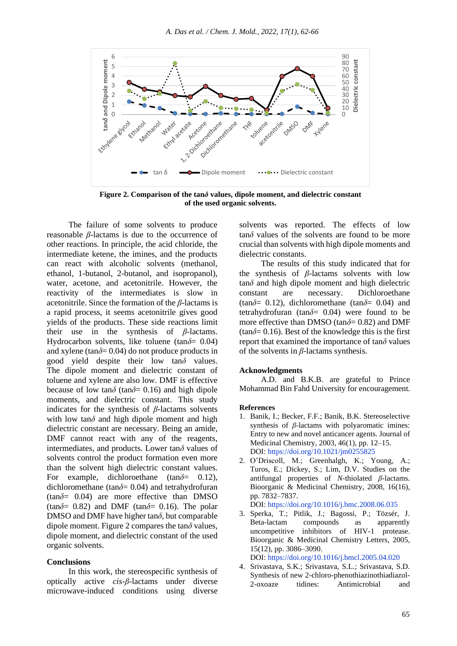

**Figure 2. Comparison of the tan***δ* **values, dipole moment, and dielectric constant of the used organic solvents.**

The failure of some solvents to produce reasonable *β*-lactams is due to the occurrence of other reactions. In principle, the acid chloride, the intermediate ketene, the imines, and the products can react with alcoholic solvents (methanol, ethanol, 1-butanol, 2-butanol, and isopropanol), water, acetone, and acetonitrile. However, the reactivity of the intermediates is slow in acetonitrile. Since the formation of the *β*-lactams is a rapid process, it seems acetonitrile gives good yields of the products. These side reactions limit their use in the synthesis of *β*-lactams. Hydrocarbon solvents, like toluene (tan*δ*= 0.04) and xylene (tan $\delta$ = 0.04) do not produce products in good yield despite their low tan*δ* values. The dipole moment and dielectric constant of toluene and xylene are also low. DMF is effective because of low tan $\delta$  (tan $\delta$ = 0.16) and high dipole moments, and dielectric constant. This study indicates for the synthesis of *β*-lactams solvents with low tan $\delta$  and high dipole moment and high dielectric constant are necessary. Being an amide, DMF cannot react with any of the reagents, intermediates, and products. Lower tan*δ* values of solvents control the product formation even more than the solvent high dielectric constant values. For example, dichloroethane (tan*δ*= 0.12), dichloromethane (tan*δ*= 0.04) and tetrahydrofuran  $(tan\delta = 0.04)$  are more effective than DMSO (tan $\delta$ = 0.82) and DMF (tan $\delta$ = 0.16). The polar DMSO and DMF have higher tan*δ*, but comparable dipole moment. Figure 2 compares the tan*δ* values, dipole moment, and dielectric constant of the used organic solvents.

### **Conclusions**

In this work, the stereospecific synthesis of optically active *cis*-*β*-lactams under diverse microwave-induced conditions using diverse solvents was reported. The effects of low tan*δ* values of the solvents are found to be more crucial than solvents with high dipole moments and dielectric constants.

The results of this study indicated that for the synthesis of *β*-lactams solvents with low tan*δ* and high dipole moment and high dielectric constant are necessary. Dichloroethane (tan $\delta$ = 0.12), dichloromethane (tan $\delta$ = 0.04) and tetrahydrofuran (tan*δ*= 0.04) were found to be more effective than DMSO (tan*δ*= 0.82) and DMF  $(tan\delta = 0.16)$ . Best of the knowledge this is the first report that examined the importance of tan*δ* values of the solvents in *β*-lactams synthesis.

#### **Acknowledgments**

A.D. and B.K.B. are grateful to Prince Mohammad Bin Fahd University for encouragement.

## **References**

- 1. Banik, I.; Becker, F.F.; Banik, B.K. Stereoselective synthesis of *β*-lactams with polyaromatic imines: Entry to new and novel anticancer agents. Journal of Medicinal Chemistry, 2003, 46(1), pp. 12–15. DOI: https://doi.org/10.1021/jm0255825
- 2. O'Driscoll, M.; Greenhalgh, K.; Young, A.; Turos, E.; Dickey, S.; Lim, D.V. Studies on the antifungal properties of *N*-thiolated *β*-lactams. Bioorganic & Medicinal Chemistry, 2008, 16(16), pp. 7832–7837.

DOI: https://doi.org/10.1016/j.bmc.2008.06.035

3. Sperka, T.; Pitlik, J.; Bagossi, P.; Tözsér, J. Beta-lactam compounds as apparently uncompetitive inhibitors of HIV-1 protease. Bioorganic & Medicinal Chemistry Letters, 2005, 15(12), pp. 3086–3090.

DOI: https://doi.org/10.1016/j.bmcl.2005.04.020

4. Srivastava, S.K.; Srivastava, S.L.; Srivastava, S.D. Synthesis of new 2-chloro-phenothiazinothiadiazol-2-oxoaze tidines: Antimicrobial and